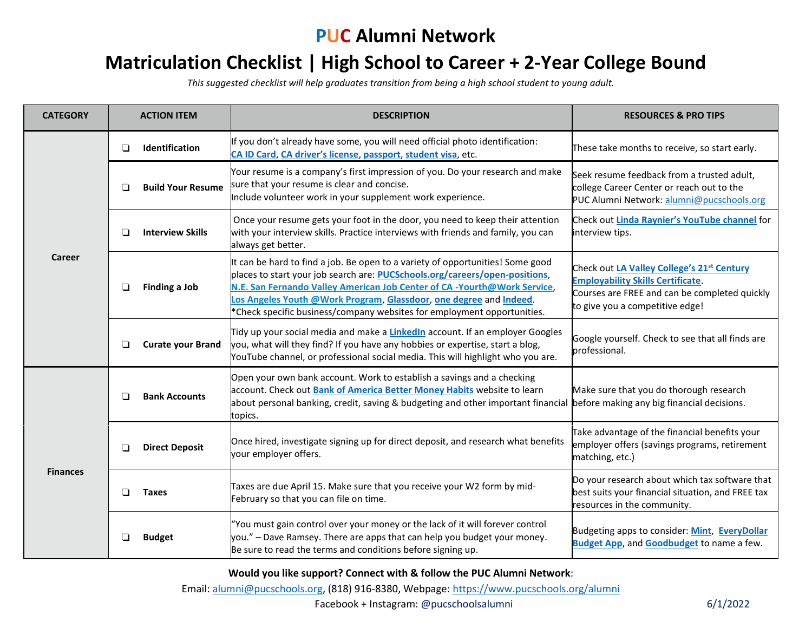## **PUC Alumni Network**

## **Matriculation Checklist | High School to Career + 2-Year College Bound**

*This suggested checklist will help graduates transition from being a high school student to young adult.* 

| <b>CATEGORY</b> |        | <b>ACTION ITEM</b>       | <b>DESCRIPTION</b>                                                                                                                                                                                                                                                                                                                                                                                 | <b>RESOURCES &amp; PRO TIPS</b>                                                                                                                                                        |
|-----------------|--------|--------------------------|----------------------------------------------------------------------------------------------------------------------------------------------------------------------------------------------------------------------------------------------------------------------------------------------------------------------------------------------------------------------------------------------------|----------------------------------------------------------------------------------------------------------------------------------------------------------------------------------------|
| Career          | $\Box$ | <b>Identification</b>    | If you don't already have some, you will need official photo identification:<br>CA ID Card, CA driver's license, passport, student visa, etc.                                                                                                                                                                                                                                                      | These take months to receive, so start early.                                                                                                                                          |
|                 | □      | <b>Build Your Resume</b> | Your resume is a company's first impression of you. Do your research and make<br>sure that your resume is clear and concise.<br>Include volunteer work in your supplement work experience.                                                                                                                                                                                                         | Seek resume feedback from a trusted adult,<br>college Career Center or reach out to the<br>PUC Alumni Network: alumni@pucschools.org                                                   |
|                 | □      | <b>Interview Skills</b>  | Once your resume gets your foot in the door, you need to keep their attention<br>with your interview skills. Practice interviews with friends and family, you can<br>always get better.                                                                                                                                                                                                            | Check out Linda Raynier's YouTube channel for<br>interview tips.                                                                                                                       |
|                 |        | Finding a Job            | It can be hard to find a job. Be open to a variety of opportunities! Some good<br>places to start your job search are: <b>PUCSchools.org/careers/open-positions</b> ,<br>N.E. San Fernando Valley American Job Center of CA -Yourth@Work Service,<br>Los Angeles Youth @Work Program, Glassdoor, one degree and Indeed.<br>*Check specific business/company websites for employment opportunities. | Check out LA Valley College's 21 <sup>st</sup> Century<br><b>Employability Skills Certificate.</b><br>Courses are FREE and can be completed quickly<br>to give you a competitive edge! |
|                 | ❏      | <b>Curate your Brand</b> | Tidy up your social media and make a <b>LinkedIn</b> account. If an employer Googles<br>you, what will they find? If you have any hobbies or expertise, start a blog,<br>YouTube channel, or professional social media. This will highlight who you are.                                                                                                                                           | Google yourself. Check to see that all finds are<br>professional.                                                                                                                      |
| <b>Finances</b> | □      | <b>Bank Accounts</b>     | Open your own bank account. Work to establish a savings and a checking<br>account. Check out Bank of America Better Money Habits website to learn<br>about personal banking, credit, saving & budgeting and other important financial<br>topics.                                                                                                                                                   | Make sure that you do thorough research<br>before making any big financial decisions.                                                                                                  |
|                 | ❏      | <b>Direct Deposit</b>    | Once hired, investigate signing up for direct deposit, and research what benefits<br>your employer offers.                                                                                                                                                                                                                                                                                         | Take advantage of the financial benefits your<br>employer offers (savings programs, retirement<br>matching, etc.)                                                                      |
|                 | □      | <b>Taxes</b>             | Taxes are due April 15. Make sure that you receive your W2 form by mid-<br>February so that you can file on time.                                                                                                                                                                                                                                                                                  | Do your research about which tax software that<br>best suits your financial situation, and FREE tax<br>resources in the community.                                                     |
|                 |        | <b>Budget</b>            | "You must gain control over your money or the lack of it will forever control<br>you." - Dave Ramsey. There are apps that can help you budget your money.<br>Be sure to read the terms and conditions before signing up.                                                                                                                                                                           | Budgeting apps to consider: Mint, EveryDollar<br><b>Budget App, and Goodbudget to name a few.</b>                                                                                      |

**Would you like support? Connect with & follow the PUC Alumni Network**:

Email: [alumni@pucschools.org,](mailto:alumni@pucschools.org) (818) 916-8380, Webpage[: https://www.pucschools.org/alumni](https://www.pucschools.org/alumni)